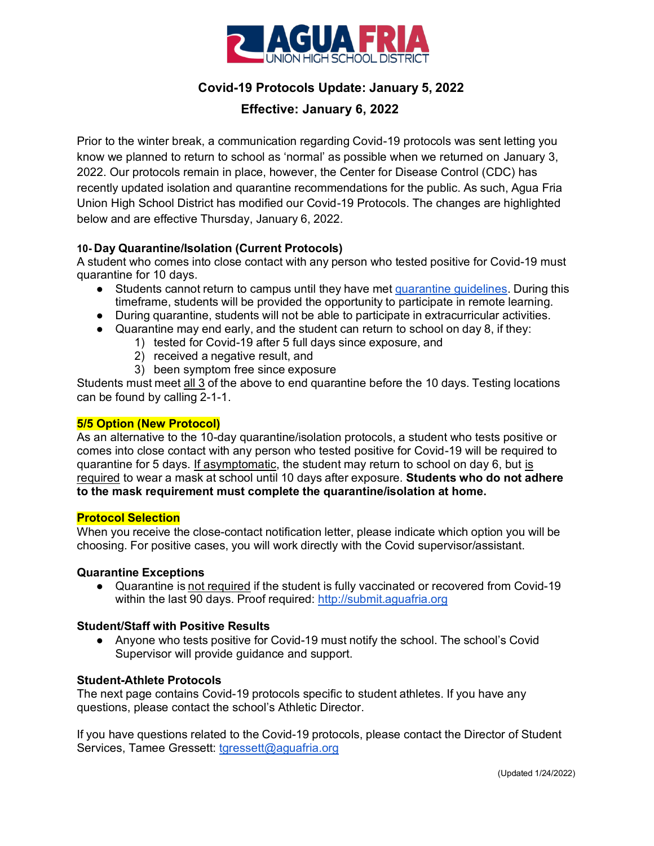

# **Covid-19 Protocols Update: January 5, 2022**

## **Effective: January 6, 2022**

Prior to the winter break, a communication regarding Covid-19 protocols was sent letting you know we planned to return to school as 'normal' as possible when we returned on January 3, 2022. Our protocols remain in place, however, the Center for Disease Control (CDC) has recently updated isolation and quarantine recommendations for the public. As such, Agua Fria Union High School District has modified our Covid-19 Protocols. The changes are highlighted below and are effective Thursday, January 6, 2022.

#### **10- Day Quarantine/Isolation (Current Protocols)**

A student who comes into close contact with any person who tested positive for Covid-19 must quarantine for 10 days.

- Students cannot return to campus until they have met [quarantine](https://www.maricopa.gov/DocumentCenter/View/58864/Quarantine-Guidance-for-Household-and-Close-Contacts?bidId) quidelines. During this timeframe, students will be provided the opportunity to participate in remote learning.
- During quarantine, students will not be able to participate in extracurricular activities.
- Quarantine may end early, and the student can return to school on day 8, if they:
	- 1) tested for Covid-19 after 5 full days since exposure, and
	- 2) received a negative result, and
	- 3) been symptom free since exposure

Students must meet all 3 of the above to end quarantine before the 10 days. Testing locations can be found by calling 2-1-1.

#### **5/5 Option (New Protocol)**

As an alternative to the 10-day quarantine/isolation protocols, a student who tests positive or comes into close contact with any person who tested positive for Covid-19 will be required to quarantine for 5 days. If asymptomatic, the student may return to school on day 6, but is required to wear a mask at school until 10 days after exposure. **Students who do not adhere to the mask requirement must complete the quarantine/isolation at home.**

#### **Protocol Selection**

When you receive the close-contact notification letter, please indicate which option you will be choosing. For positive cases, you will work directly with the Covid supervisor/assistant.

#### **Quarantine Exceptions**

● Quarantine is not required if the student is fully vaccinated or recovered from Covid-19 within the last 90 days. Proof required: [http://submit.aguafria.org](http://submit.aguafria.org/)

#### **Student/Staff with Positive Results**

● Anyone who tests positive for Covid-19 must notify the school. The school's Covid Supervisor will provide guidance and support.

#### **Student-Athlete Protocols**

The next page contains Covid-19 protocols specific to student athletes. If you have any questions, please contact the school's Athletic Director.

If you have questions related to the Covid-19 protocols, please contact the Director of Student Services, Tamee Gressett: [tgressett@aguafria.org](mailto:tgressett@aguafria.org)